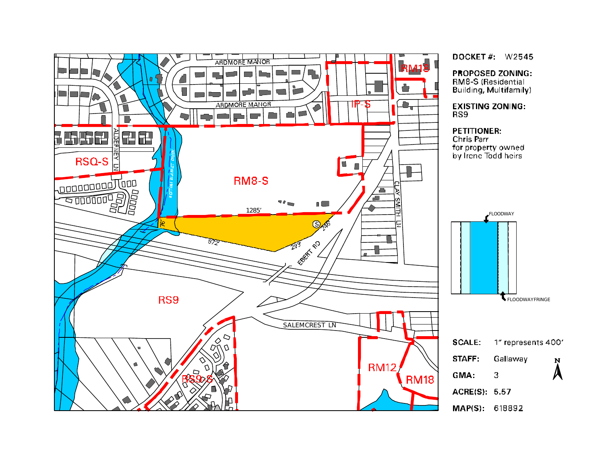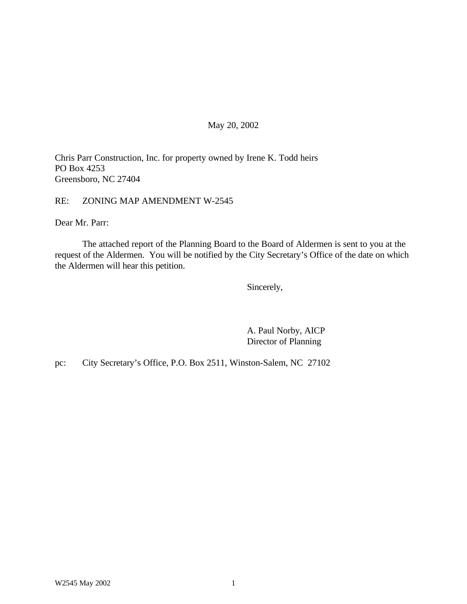#### May 20, 2002

Chris Parr Construction, Inc. for property owned by Irene K. Todd heirs PO Box 4253 Greensboro, NC 27404

RE: ZONING MAP AMENDMENT W-2545

Dear Mr. Parr:

The attached report of the Planning Board to the Board of Aldermen is sent to you at the request of the Aldermen. You will be notified by the City Secretary's Office of the date on which the Aldermen will hear this petition.

Sincerely,

A. Paul Norby, AICP Director of Planning

pc: City Secretary's Office, P.O. Box 2511, Winston-Salem, NC 27102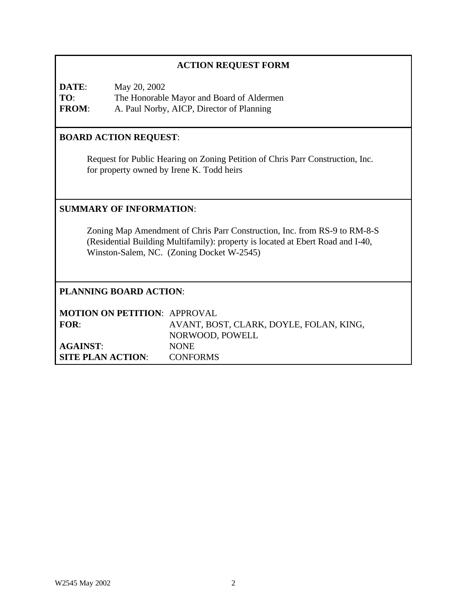### **ACTION REQUEST FORM**

**DATE**: May 20, 2002 **TO**: The Honorable Mayor and Board of Aldermen **FROM**: A. Paul Norby, AICP, Director of Planning

### **BOARD ACTION REQUEST**:

Request for Public Hearing on Zoning Petition of Chris Parr Construction, Inc. for property owned by Irene K. Todd heirs

#### **SUMMARY OF INFORMATION**:

Zoning Map Amendment of Chris Parr Construction, Inc. from RS-9 to RM-8-S (Residential Building Multifamily): property is located at Ebert Road and I-40, Winston-Salem, NC. (Zoning Docket W-2545)

#### **PLANNING BOARD ACTION**:

| <b>MOTION ON PETITION: APPROVAL</b> |                                         |
|-------------------------------------|-----------------------------------------|
| FOR:                                | AVANT, BOST, CLARK, DOYLE, FOLAN, KING, |
|                                     | NORWOOD, POWELL                         |
| <b>AGAINST:</b>                     | <b>NONE</b>                             |
| <b>SITE PLAN ACTION:</b>            | <b>CONFORMS</b>                         |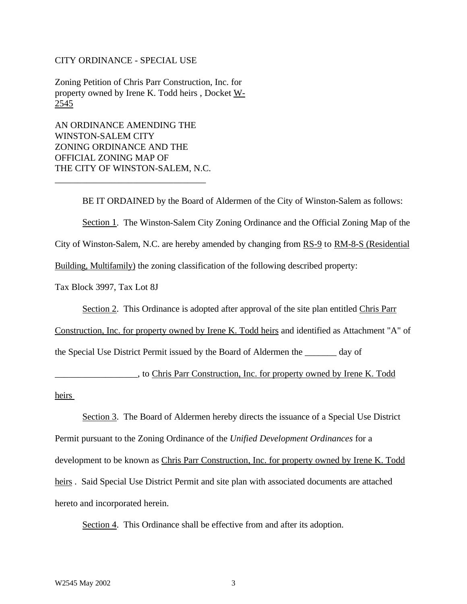#### CITY ORDINANCE - SPECIAL USE

Zoning Petition of Chris Parr Construction, Inc. for property owned by Irene K. Todd heirs , Docket W-2545

AN ORDINANCE AMENDING THE WINSTON-SALEM CITY ZONING ORDINANCE AND THE OFFICIAL ZONING MAP OF THE CITY OF WINSTON-SALEM, N.C.

\_\_\_\_\_\_\_\_\_\_\_\_\_\_\_\_\_\_\_\_\_\_\_\_\_\_\_\_\_\_\_\_\_

BE IT ORDAINED by the Board of Aldermen of the City of Winston-Salem as follows: Section 1. The Winston-Salem City Zoning Ordinance and the Official Zoning Map of the City of Winston-Salem, N.C. are hereby amended by changing from RS-9 to RM-8-S (Residential Building, Multifamily) the zoning classification of the following described property:

Tax Block 3997, Tax Lot 8J

Section 2. This Ordinance is adopted after approval of the site plan entitled Chris Parr

Construction, Inc. for property owned by Irene K. Todd heirs and identified as Attachment "A" of the Special Use District Permit issued by the Board of Aldermen the \_\_\_\_\_\_\_ day of

\_\_\_\_\_\_\_\_\_\_\_\_\_\_\_\_\_\_, to Chris Parr Construction, Inc. for property owned by Irene K. Todd heirs

Section 3. The Board of Aldermen hereby directs the issuance of a Special Use District Permit pursuant to the Zoning Ordinance of the *Unified Development Ordinances* for a development to be known as Chris Parr Construction, Inc. for property owned by Irene K. Todd heirs . Said Special Use District Permit and site plan with associated documents are attached hereto and incorporated herein.

Section 4. This Ordinance shall be effective from and after its adoption.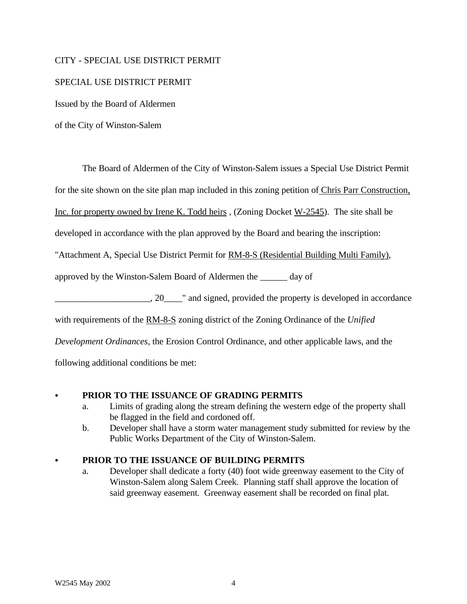#### CITY - SPECIAL USE DISTRICT PERMIT

#### SPECIAL USE DISTRICT PERMIT

Issued by the Board of Aldermen

of the City of Winston-Salem

The Board of Aldermen of the City of Winston-Salem issues a Special Use District Permit

for the site shown on the site plan map included in this zoning petition of Chris Parr Construction,

Inc. for property owned by Irene K. Todd heirs , (Zoning Docket W-2545). The site shall be

developed in accordance with the plan approved by the Board and bearing the inscription:

"Attachment A, Special Use District Permit for RM-8-S (Residential Building Multi Family),

approved by the Winston-Salem Board of Aldermen the \_\_\_\_\_\_ day of

 $20$  and signed, provided the property is developed in accordance

with requirements of the RM-8-S zoning district of the Zoning Ordinance of the *Unified*

*Development Ordinances*, the Erosion Control Ordinance, and other applicable laws, and the

following additional conditions be met:

### PRIOR TO THE ISSUANCE OF GRADING PERMITS

- a. Limits of grading along the stream defining the western edge of the property shall be flagged in the field and cordoned off.
- b. Developer shall have a storm water management study submitted for review by the Public Works Department of the City of Winston-Salem.

### PRIOR TO THE ISSUANCE OF BUILDING PERMITS

a. Developer shall dedicate a forty (40) foot wide greenway easement to the City of Winston-Salem along Salem Creek. Planning staff shall approve the location of said greenway easement. Greenway easement shall be recorded on final plat.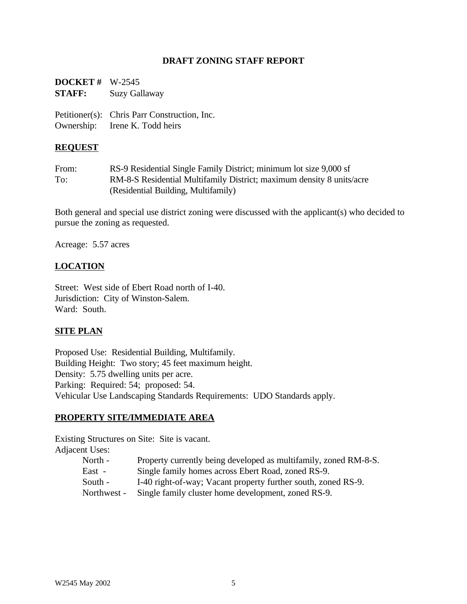#### **DRAFT ZONING STAFF REPORT**

| <b>DOCKET</b> # $W-2545$ |                                              |
|--------------------------|----------------------------------------------|
| <b>STAFF:</b>            | Suzy Gallaway                                |
|                          | Petitioner(s): Chris Parr Construction, Inc. |
|                          | Ownership: Irene K. Todd heirs               |

#### **REQUEST**

From: RS-9 Residential Single Family District; minimum lot size 9,000 sf To: RM-8-S Residential Multifamily District; maximum density 8 units/acre (Residential Building, Multifamily)

Both general and special use district zoning were discussed with the applicant(s) who decided to pursue the zoning as requested.

Acreage: 5.57 acres

#### **LOCATION**

Street: West side of Ebert Road north of I-40. Jurisdiction: City of Winston-Salem. Ward: South.

#### **SITE PLAN**

Proposed Use: Residential Building, Multifamily. Building Height: Two story; 45 feet maximum height. Density: 5.75 dwelling units per acre. Parking: Required: 54; proposed: 54. Vehicular Use Landscaping Standards Requirements: UDO Standards apply.

#### **PROPERTY SITE/IMMEDIATE AREA**

Existing Structures on Site: Site is vacant. Adjacent Uses:

- North Property currently being developed as multifamily, zoned RM-8-S.
- East Single family homes across Ebert Road, zoned RS-9.
- South I-40 right-of-way; Vacant property further south, zoned RS-9.
- Northwest Single family cluster home development, zoned RS-9.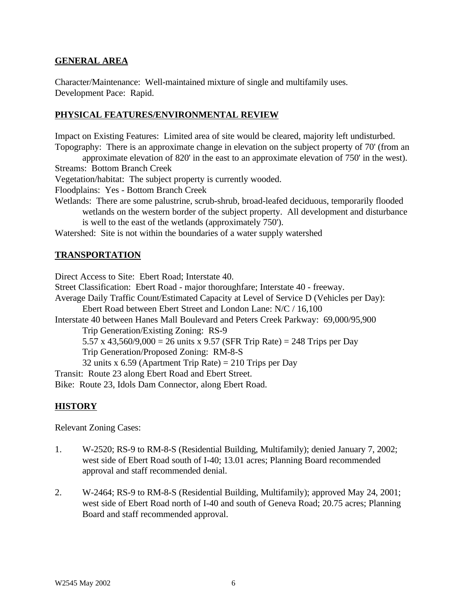#### **GENERAL AREA**

Character/Maintenance: Well-maintained mixture of single and multifamily uses. Development Pace: Rapid.

#### **PHYSICAL FEATURES/ENVIRONMENTAL REVIEW**

Impact on Existing Features: Limited area of site would be cleared, majority left undisturbed. Topography: There is an approximate change in elevation on the subject property of 70' (from an

approximate elevation of 820' in the east to an approximate elevation of 750' in the west). Streams: Bottom Branch Creek

Vegetation/habitat: The subject property is currently wooded.

Floodplains: Yes - Bottom Branch Creek

Wetlands: There are some palustrine, scrub-shrub, broad-leafed deciduous, temporarily flooded wetlands on the western border of the subject property. All development and disturbance is well to the east of the wetlands (approximately 750').

Watershed: Site is not within the boundaries of a water supply watershed

#### **TRANSPORTATION**

Direct Access to Site: Ebert Road; Interstate 40. Street Classification: Ebert Road - major thoroughfare; Interstate 40 - freeway. Average Daily Traffic Count/Estimated Capacity at Level of Service D (Vehicles per Day): Ebert Road between Ebert Street and London Lane: N/C / 16,100 Interstate 40 between Hanes Mall Boulevard and Peters Creek Parkway: 69,000/95,900 Trip Generation/Existing Zoning: RS-9 5.57 x 43,560/9,000 = 26 units x 9.57 (SFR Trip Rate) = 248 Trips per Day Trip Generation/Proposed Zoning: RM-8-S 32 units x 6.59 (Apartment Trip Rate) = 210 Trips per Day Transit: Route 23 along Ebert Road and Ebert Street. Bike: Route 23, Idols Dam Connector, along Ebert Road.

#### **HISTORY**

Relevant Zoning Cases:

- 1. W-2520; RS-9 to RM-8-S (Residential Building, Multifamily); denied January 7, 2002; west side of Ebert Road south of I-40; 13.01 acres; Planning Board recommended approval and staff recommended denial.
- 2. W-2464; RS-9 to RM-8-S (Residential Building, Multifamily); approved May 24, 2001; west side of Ebert Road north of I-40 and south of Geneva Road; 20.75 acres; Planning Board and staff recommended approval.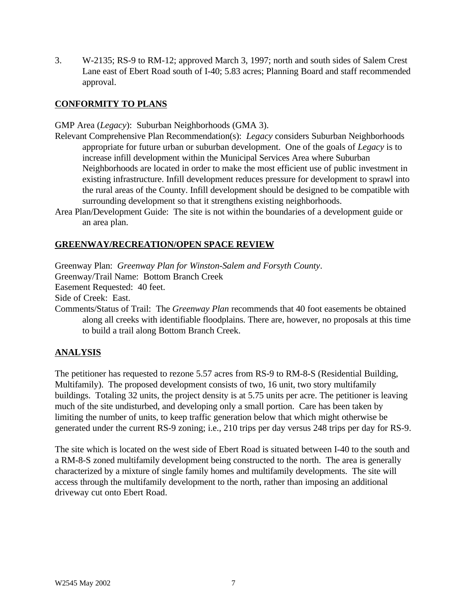3. W-2135; RS-9 to RM-12; approved March 3, 1997; north and south sides of Salem Crest Lane east of Ebert Road south of I-40; 5.83 acres; Planning Board and staff recommended approval.

#### **CONFORMITY TO PLANS**

GMP Area (*Legacy*): Suburban Neighborhoods (GMA 3).

- Relevant Comprehensive Plan Recommendation(s): *Legacy* considers Suburban Neighborhoods appropriate for future urban or suburban development. One of the goals of *Legacy* is to increase infill development within the Municipal Services Area where Suburban Neighborhoods are located in order to make the most efficient use of public investment in existing infrastructure. Infill development reduces pressure for development to sprawl into the rural areas of the County. Infill development should be designed to be compatible with surrounding development so that it strengthens existing neighborhoods.
- Area Plan/Development Guide: The site is not within the boundaries of a development guide or an area plan.

#### **GREENWAY/RECREATION/OPEN SPACE REVIEW**

Greenway Plan: *Greenway Plan for Winston-Salem and Forsyth County*. Greenway/Trail Name: Bottom Branch Creek Easement Requested: 40 feet. Side of Creek: East. Comments/Status of Trail: The *Greenway Plan* recommends that 40 foot easements be obtained along all creeks with identifiable floodplains. There are, however, no proposals at this time to build a trail along Bottom Branch Creek.

### **ANALYSIS**

The petitioner has requested to rezone 5.57 acres from RS-9 to RM-8-S (Residential Building, Multifamily). The proposed development consists of two, 16 unit, two story multifamily buildings. Totaling 32 units, the project density is at 5.75 units per acre. The petitioner is leaving much of the site undisturbed, and developing only a small portion. Care has been taken by limiting the number of units, to keep traffic generation below that which might otherwise be generated under the current RS-9 zoning; i.e., 210 trips per day versus 248 trips per day for RS-9.

The site which is located on the west side of Ebert Road is situated between I-40 to the south and a RM-8-S zoned multifamily development being constructed to the north. The area is generally characterized by a mixture of single family homes and multifamily developments. The site will access through the multifamily development to the north, rather than imposing an additional driveway cut onto Ebert Road.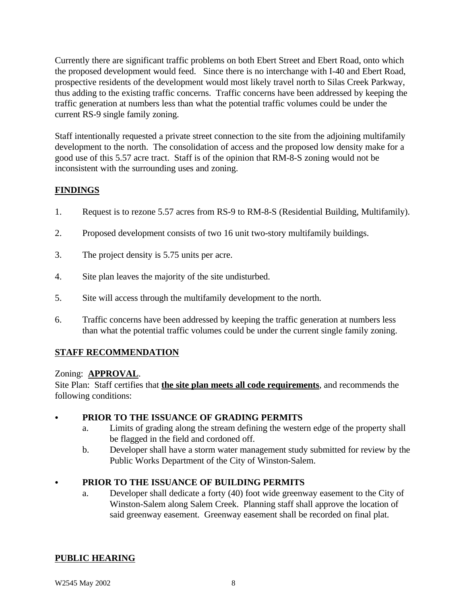Currently there are significant traffic problems on both Ebert Street and Ebert Road, onto which the proposed development would feed. Since there is no interchange with I-40 and Ebert Road, prospective residents of the development would most likely travel north to Silas Creek Parkway, thus adding to the existing traffic concerns. Traffic concerns have been addressed by keeping the traffic generation at numbers less than what the potential traffic volumes could be under the current RS-9 single family zoning.

Staff intentionally requested a private street connection to the site from the adjoining multifamily development to the north. The consolidation of access and the proposed low density make for a good use of this 5.57 acre tract. Staff is of the opinion that RM-8-S zoning would not be inconsistent with the surrounding uses and zoning.

## **FINDINGS**

- 1. Request is to rezone 5.57 acres from RS-9 to RM-8-S (Residential Building, Multifamily).
- 2. Proposed development consists of two 16 unit two-story multifamily buildings.
- 3. The project density is 5.75 units per acre.
- 4. Site plan leaves the majority of the site undisturbed.
- 5. Site will access through the multifamily development to the north.
- 6. Traffic concerns have been addressed by keeping the traffic generation at numbers less than what the potential traffic volumes could be under the current single family zoning.

# **STAFF RECOMMENDATION**

## Zoning: **APPROVAL**.

Site Plan: Staff certifies that **the site plan meets all code requirements**, and recommends the following conditions:

## PRIOR TO THE ISSUANCE OF GRADING PERMITS

- a. Limits of grading along the stream defining the western edge of the property shall be flagged in the field and cordoned off.
- b. Developer shall have a storm water management study submitted for review by the Public Works Department of the City of Winston-Salem.

# C **PRIOR TO THE ISSUANCE OF BUILDING PERMITS**

a. Developer shall dedicate a forty (40) foot wide greenway easement to the City of Winston-Salem along Salem Creek. Planning staff shall approve the location of said greenway easement. Greenway easement shall be recorded on final plat.

# **PUBLIC HEARING**